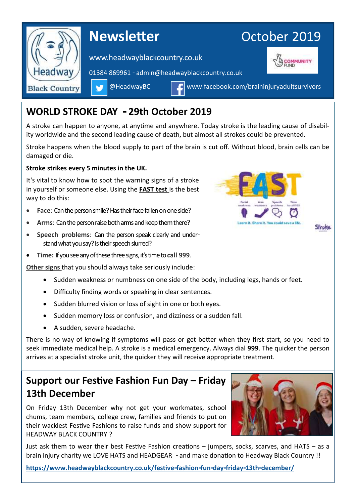

## **WORLD STROKE DAY - 29th October 2019**

A stroke can happen to anyone, at anytime and anywhere. Today stroke is the leading cause of disability worldwide and the second leading cause of death, but almost all strokes could be prevented.

Stroke happens when the blood supply to part of the brain is cut off. Without blood, brain cells can be damaged or die.

#### **Stroke strikes every 5 minutes in the UK.**

It's vital to know how to spot the warning signs of a stroke in yourself or someone else. Using the **FAST test** is the best way to do this:

- **Face:** Can the person smile? Has their face fallen on one side?
- **Arms**: Can the person raise both arms and keep them there?
- **Speech problems**: Can the person speak clearly and understand what you say? Is their speech slurred?
- **Time:** If you see any of these three signs, it's time to**call 999**.

**Other signs** that you should always take seriously include:

- Sudden weakness or numbness on one side of the body, including legs, hands or feet.
- Difficulty finding words or speaking in clear sentences.
- Sudden blurred vision or loss of sight in one or both eyes.
- Sudden memory loss or confusion, and dizziness or a sudden fall.
- A sudden, severe headache.

There is no way of knowing if symptoms will pass or get better when they first start, so you need to seek immediate medical help. A stroke is a medical emergency. Always dial **999**. The quicker the person arrives at a specialist stroke unit, the quicker they will receive appropriate treatment.

# **Support our Festive Fashion Fun Day – Friday 13th December**

On Friday 13th December why not get your workmates, school chums, team members, college crew, families and friends to put on their wackiest Festive Fashions to raise funds and show support for HEADWAY BLACK COUNTRY ?

Just ask them to wear their best Festive Fashion creations – jumpers, socks, scarves, and HATS – as a brain injury charity we LOVE HATS and HEADGEAR - and make donation to Headway Black Country !!

**<https://www.headwayblackcountry.co.uk/festive-fashion-fun-day-friday-13th-december/>**



Stroke